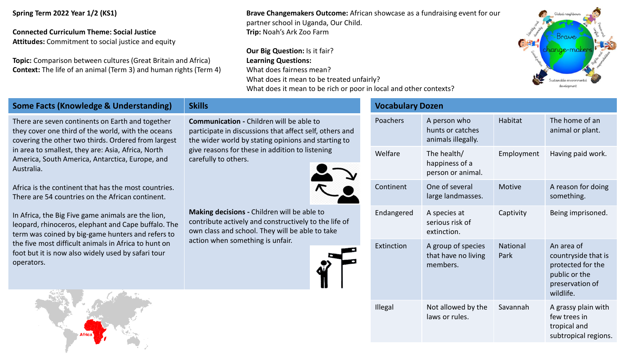**Spring Term 2022 Year 1/2 (KS1)**

## **Connected Curriculum Theme: Social Justice**

**Attitudes:** Commitment to social justice and equity

**Topic:** Comparison between cultures (Great Britain and Africa) **Context:** The life of an animal (Term 3) and human rights (Term 4)

**Brave Changemakers Outcome:** African showcase as a fundraising event for our partner school in Uganda, Our Child. **Trip:** Noah's Ark Zoo Farm

**Our Big Question: Is it fair? Learning Questions:** What does fairness mean? What does it mean to be treated unfairly? What does it mean to be rich or poor in local and other contexts?



## **Some Facts (Knowledge & Understanding) Skills**

There are seven continents on Earth and together they cover one third of the world, with the oceans covering the other two thirds. Ordered from largest in area to smallest, they are: Asia, Africa, North America, South America, Antarctica, Europe, and Australia.

Africa is the continent that has the most countries. There are 54 countries on the African continent.

In Africa, the Big Five game animals are the lion, leopard, rhinoceros, elephant and Cape buffalo. The term was coined by big-game hunters and refers to the five most difficult animals in Africa to hunt on foot but it is now also widely used by safari tour operators.

**Communication -** Children will be able to participate in discussions that affect self, others and the wider world by stating opinions and starting to give reasons for these in addition to listening carefully to others.



**Making decisions -** Children will be able to contribute actively and constructively to the life of own class and school. They will be able to take action when something is unfair.



## **Vocabulary Dozen**

| Poachers   | A person who<br>hunts or catches<br>animals illegally. | Habitat                 | The home of an<br>animal or plant.                                                                      |
|------------|--------------------------------------------------------|-------------------------|---------------------------------------------------------------------------------------------------------|
| Welfare    | The health/<br>happiness of a<br>person or animal.     | Employment              | Having paid work.                                                                                       |
| Continent  | One of several<br>large landmasses.                    | Motive                  | A reason for doing<br>something.                                                                        |
| Endangered | A species at<br>serious risk of<br>extinction.         | Captivity               | Being imprisoned.                                                                                       |
| Extinction | A group of species<br>that have no living<br>members.  | <b>National</b><br>Park | An area of<br>countryside that is<br>protected for the<br>public or the<br>preservation of<br>wildlife. |
| Illegal    | Not allowed by the<br>laws or rules.                   | Savannah                | A grassy plain with<br>few trees in<br>tropical and<br>subtropical regions.                             |